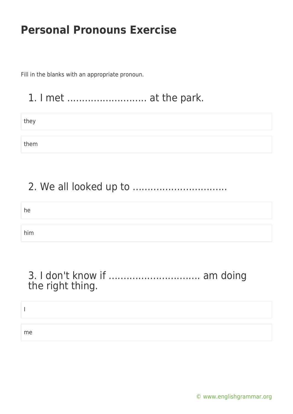Fill in the blanks with an appropriate pronoun.

### 1. I met ........................... at the park.

they

them

## 2. We all looked up to ................................

he him

#### 3. I don't know if ............................... am doing the right thing.

I

me

[© www.englishgrammar.org](https://www.englishgrammar.org/)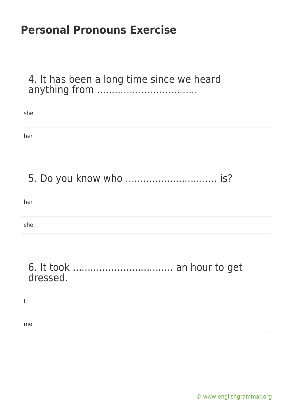4. It has been a long time since we heard anything from ..................................

| she |  |
|-----|--|
|     |  |
| her |  |

## 5. Do you know who ............................... is?

| her |  |
|-----|--|
|     |  |
| she |  |

#### 6. It took .................................. an hour to get dressed.

| me |  |
|----|--|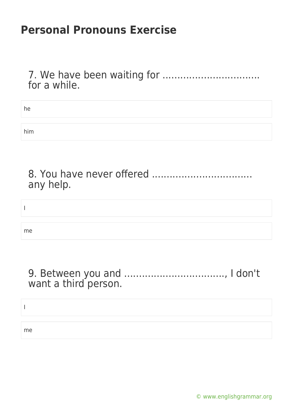7. We have been waiting for ................................. for a while.

| he  |  |  |
|-----|--|--|
|     |  |  |
| him |  |  |
|     |  |  |

| any help. |
|-----------|

I

me

#### 9. Between you and .................................., I don't want a third person.

I

me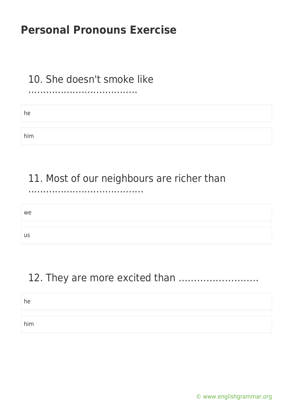## 10. She doesn't smoke like

.....................................

he

him

# 11. Most of our neighbours are richer than

.......................................

| we |  |  |
|----|--|--|
|    |  |  |
| us |  |  |

## 12. They are more excited than ……………………..

| he  |  |
|-----|--|
|     |  |
| him |  |